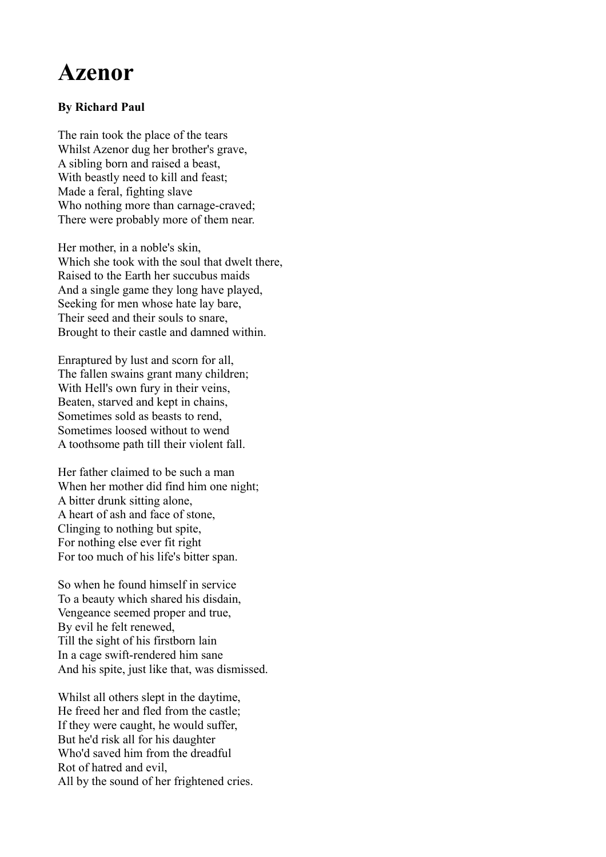## **Azenor**

## **By Richard Paul**

The rain took the place of the tears Whilst Azenor dug her brother's grave, A sibling born and raised a beast, With beastly need to kill and feast; Made a feral, fighting slave Who nothing more than carnage-craved; There were probably more of them near.

Her mother, in a noble's skin, Which she took with the soul that dwelt there, Raised to the Earth her succubus maids And a single game they long have played, Seeking for men whose hate lay bare, Their seed and their souls to snare, Brought to their castle and damned within.

Enraptured by lust and scorn for all, The fallen swains grant many children; With Hell's own fury in their veins, Beaten, starved and kept in chains, Sometimes sold as beasts to rend, Sometimes loosed without to wend A toothsome path till their violent fall.

Her father claimed to be such a man When her mother did find him one night; A bitter drunk sitting alone, A heart of ash and face of stone, Clinging to nothing but spite, For nothing else ever fit right For too much of his life's bitter span.

So when he found himself in service To a beauty which shared his disdain, Vengeance seemed proper and true, By evil he felt renewed, Till the sight of his firstborn lain In a cage swift-rendered him sane And his spite, just like that, was dismissed.

Whilst all others slept in the daytime, He freed her and fled from the castle; If they were caught, he would suffer, But he'd risk all for his daughter Who'd saved him from the dreadful Rot of hatred and evil, All by the sound of her frightened cries.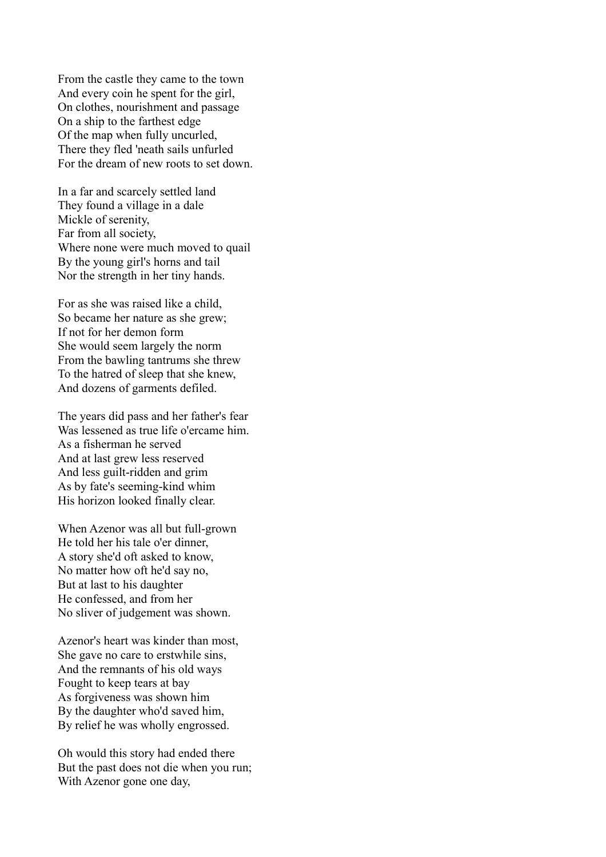From the castle they came to the town And every coin he spent for the girl, On clothes, nourishment and passage On a ship to the farthest edge Of the map when fully uncurled, There they fled 'neath sails unfurled For the dream of new roots to set down.

In a far and scarcely settled land They found a village in a dale Mickle of serenity, Far from all society, Where none were much moved to quail By the young girl's horns and tail Nor the strength in her tiny hands.

For as she was raised like a child, So became her nature as she grew; If not for her demon form She would seem largely the norm From the bawling tantrums she threw To the hatred of sleep that she knew, And dozens of garments defiled.

The years did pass and her father's fear Was lessened as true life o'ercame him. As a fisherman he served And at last grew less reserved And less guilt-ridden and grim As by fate's seeming-kind whim His horizon looked finally clear.

When Azenor was all but full-grown He told her his tale o'er dinner, A story she'd oft asked to know, No matter how oft he'd say no, But at last to his daughter He confessed, and from her No sliver of judgement was shown.

Azenor's heart was kinder than most, She gave no care to erstwhile sins, And the remnants of his old ways Fought to keep tears at bay As forgiveness was shown him By the daughter who'd saved him, By relief he was wholly engrossed.

Oh would this story had ended there But the past does not die when you run; With Azenor gone one day,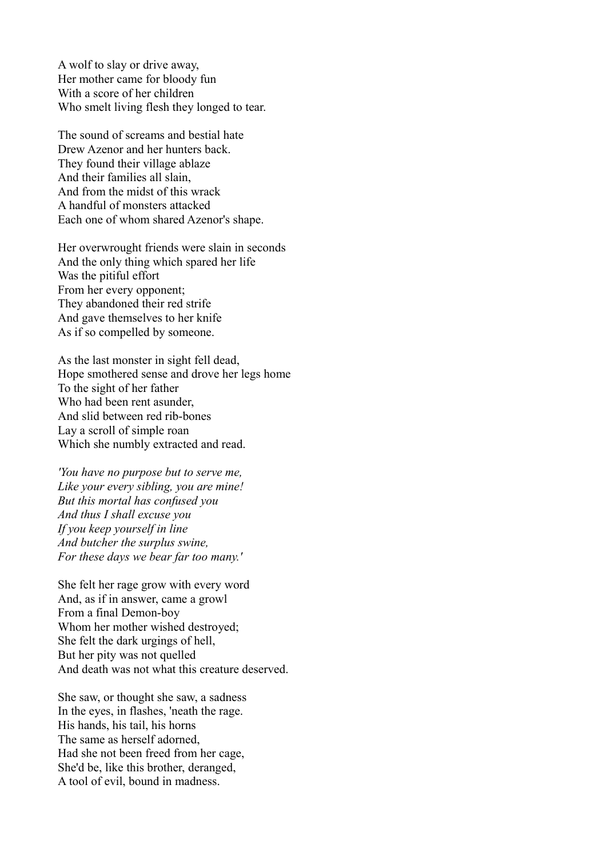A wolf to slay or drive away, Her mother came for bloody fun With a score of her children Who smelt living flesh they longed to tear.

The sound of screams and bestial hate Drew Azenor and her hunters back. They found their village ablaze And their families all slain, And from the midst of this wrack A handful of monsters attacked Each one of whom shared Azenor's shape.

Her overwrought friends were slain in seconds And the only thing which spared her life Was the pitiful effort From her every opponent; They abandoned their red strife And gave themselves to her knife As if so compelled by someone.

As the last monster in sight fell dead, Hope smothered sense and drove her legs home To the sight of her father Who had been rent asunder, And slid between red rib-bones Lay a scroll of simple roan Which she numbly extracted and read.

*'You have no purpose but to serve me, Like your every sibling, you are mine! But this mortal has confused you And thus I shall excuse you If you keep yourself in line And butcher the surplus swine, For these days we bear far too many.'*

She felt her rage grow with every word And, as if in answer, came a growl From a final Demon-boy Whom her mother wished destroyed; She felt the dark urgings of hell, But her pity was not quelled And death was not what this creature deserved.

She saw, or thought she saw, a sadness In the eyes, in flashes, 'neath the rage. His hands, his tail, his horns The same as herself adorned, Had she not been freed from her cage, She'd be, like this brother, deranged, A tool of evil, bound in madness.